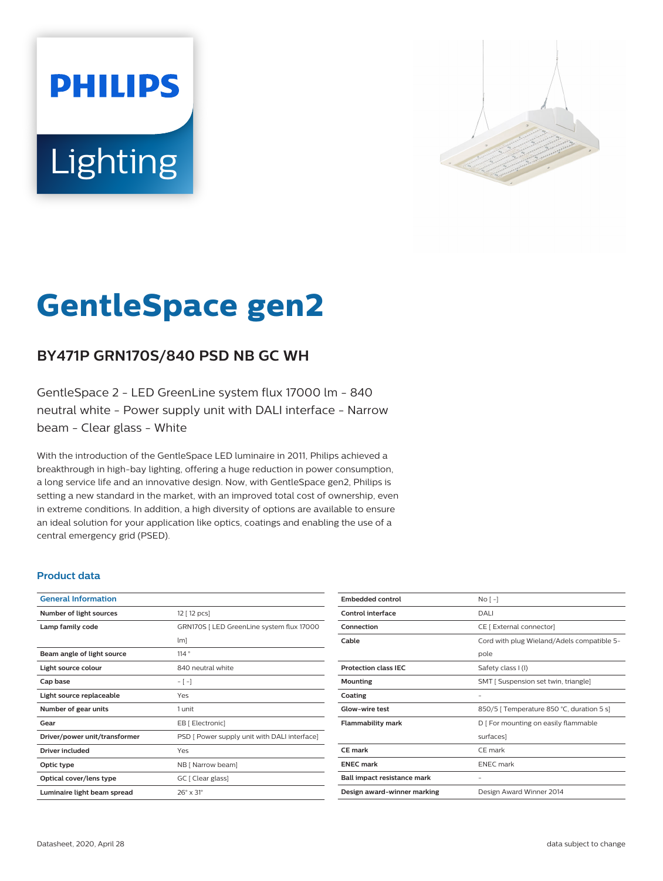# **PHILIPS** Lighting



# **GentleSpace gen2**

# **BY471P GRN170S/840 PSD NB GC WH**

GentleSpace 2 - LED GreenLine system flux 17000 lm - 840 neutral white - Power supply unit with DALI interface - Narrow beam - Clear glass - White

With the introduction of the GentleSpace LED luminaire in 2011, Philips achieved a breakthrough in high-bay lighting, offering a huge reduction in power consumption, a long service life and an innovative design. Now, with GentleSpace gen2, Philips is setting a new standard in the market, with an improved total cost of ownership, even in extreme conditions. In addition, a high diversity of options are available to ensure an ideal solution for your application like optics, coatings and enabling the use of a central emergency grid (PSED).

#### **Product data**

| <b>General Information</b>    |                                              |
|-------------------------------|----------------------------------------------|
| Number of light sources       | 12 [ 12 pcs]                                 |
| Lamp family code              | GRN170S   LED GreenLine system flux 17000    |
|                               | lm]                                          |
| Beam angle of light source    | 114°                                         |
| Light source colour           | 840 neutral white                            |
| Cap base                      | $-[-]$                                       |
| Light source replaceable      | Yes                                          |
| Number of gear units          | 1 unit                                       |
| Gear                          | EB [ Electronic]                             |
| Driver/power unit/transformer | PSD [ Power supply unit with DALI interface] |
| <b>Driver included</b>        | Yes                                          |
| Optic type                    | NB [ Narrow beam]                            |
| Optical cover/lens type       | GC [ Clear glass]                            |
| Luminaire light beam spread   | $26^\circ \times 31^\circ$                   |

| <b>Embedded control</b>     | No <sub>1</sub>                            |
|-----------------------------|--------------------------------------------|
| Control interface           | DALI                                       |
| Connection                  | CE [ External connector]                   |
| Cable                       | Cord with plug Wieland/Adels compatible 5- |
|                             | pole                                       |
| <b>Protection class IFC</b> | Safety class I (I)                         |
| <b>Mounting</b>             | SMT [ Suspension set twin, triangle]       |
| Coating                     | -                                          |
| <b>Glow-wire test</b>       | 850/5   Temperature 850 °C, duration 5 s]  |
| <b>Flammability mark</b>    | D   For mounting on easily flammable       |
|                             | surfaces]                                  |
| <b>CE</b> mark              | CE mark                                    |
| <b>ENEC mark</b>            | <b>ENEC</b> mark                           |
| Ball impact resistance mark | -                                          |
| Design award-winner marking | Design Award Winner 2014                   |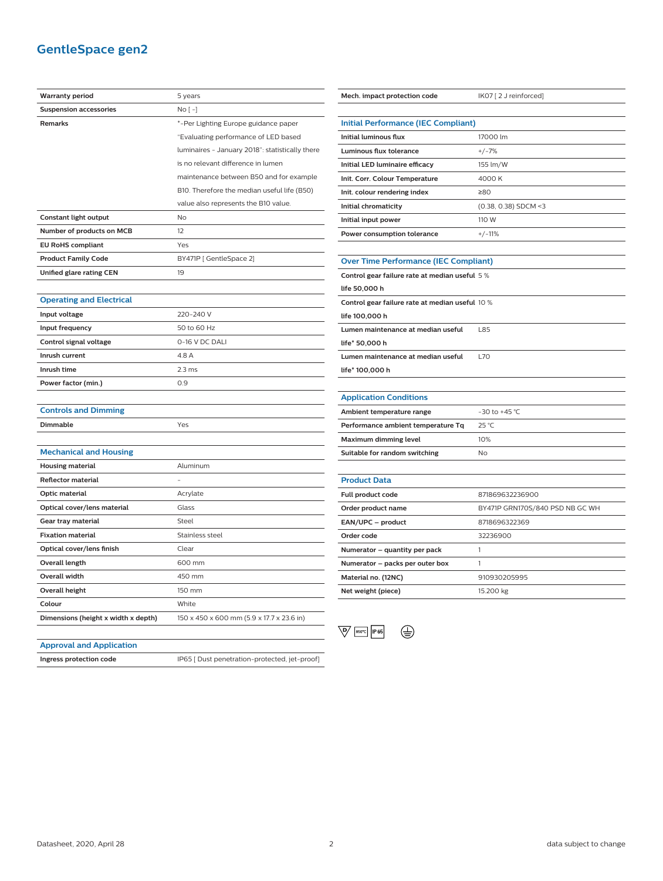## **GentleSpace gen2**

| <b>Warranty period</b>              | 5 years                                         |
|-------------------------------------|-------------------------------------------------|
| <b>Suspension accessories</b>       | No [ -]                                         |
| <b>Remarks</b>                      | *-Per Lighting Europe guidance paper            |
|                                     | "Evaluating performance of LED based            |
|                                     | luminaires - January 2018": statistically there |
|                                     | is no relevant difference in lumen              |
|                                     | maintenance between B50 and for example         |
|                                     | B10. Therefore the median useful life (B50)     |
|                                     | value also represents the B10 value.            |
| Constant light output               | No                                              |
| Number of products on MCB           | 12                                              |
| <b>EU RoHS compliant</b>            | Yes                                             |
| <b>Product Family Code</b>          | BY471P [ GentleSpace 2]                         |
| Unified glare rating CEN            | 19                                              |
|                                     |                                                 |
| <b>Operating and Electrical</b>     |                                                 |
| Input voltage                       | 220-240 V                                       |
| Input frequency                     | 50 to 60 Hz                                     |
| Control signal voltage              | 0-16 V DC DALI                                  |
| Inrush current                      | 4.8 A                                           |
| Inrush time                         | 2.3 <sub>ms</sub>                               |
| Power factor (min.)                 | 0.9                                             |
|                                     |                                                 |
| <b>Controls and Dimming</b>         |                                                 |
| Dimmable                            | Yes                                             |
|                                     |                                                 |
| <b>Mechanical and Housing</b>       |                                                 |
| <b>Housing material</b>             | Aluminum                                        |
| <b>Reflector material</b>           |                                                 |
| Optic material                      | Acrylate                                        |
| Optical cover/lens material         | Glass                                           |
| Gear tray material                  | Steel                                           |
| <b>Fixation material</b>            | Stainless steel                                 |
| Optical cover/lens finish           | Clear                                           |
| Overall length                      | 600 mm                                          |
| <b>Overall width</b>                | 450 mm                                          |
| <b>Overall height</b>               | 150 mm                                          |
| Colour                              | White                                           |
| Dimensions (height x width x depth) | 150 x 450 x 600 mm (5.9 x 17.7 x 23.6 in)       |
|                                     |                                                 |

| Mech. impact protection code                    | IK07 [2 J reinforced]           |  |
|-------------------------------------------------|---------------------------------|--|
|                                                 |                                 |  |
| <b>Initial Performance (IEC Compliant)</b>      |                                 |  |
| <b>Initial luminous flux</b>                    | 17000 lm                        |  |
| <b>Luminous flux tolerance</b>                  | $+/-7%$                         |  |
| Initial LED luminaire efficacy                  | 155 lm/W                        |  |
| Init. Corr. Colour Temperature                  | 4000K                           |  |
| Init. colour rendering index                    | ≥80                             |  |
| Initial chromaticity                            | (0.38, 0.38) SDCM <3            |  |
| Initial input power                             | 110 W                           |  |
| Power consumption tolerance                     | $+/-11%$                        |  |
|                                                 |                                 |  |
| <b>Over Time Performance (IEC Compliant)</b>    |                                 |  |
| Control gear failure rate at median useful 5%   |                                 |  |
| life 50,000 h                                   |                                 |  |
| Control gear failure rate at median useful 10 % |                                 |  |
| life 100,000 h                                  |                                 |  |
| Lumen maintenance at median useful              | L85                             |  |
| life* 50,000 h                                  |                                 |  |
| Lumen maintenance at median useful              | L70                             |  |
| life* 100,000 h                                 |                                 |  |
|                                                 |                                 |  |
| <b>Application Conditions</b>                   |                                 |  |
| Ambient temperature range                       | -30 to +45 °C                   |  |
| Performance ambient temperature Tq              | $25^{\circ}$ C                  |  |
| <b>Maximum dimming level</b>                    | 10%                             |  |
| Suitable for random switching                   | N <sub>o</sub>                  |  |
|                                                 |                                 |  |
| <b>Product Data</b>                             |                                 |  |
| Full product code                               | 871869632236900                 |  |
| Order product name                              | BY471P GRN170S/840 PSD NB GC WH |  |
| EAN/UPC - product                               | 8718696322369                   |  |
| Order code                                      | 32236900                        |  |
| Numerator - quantity per pack                   | 1                               |  |
| Numerator - packs per outer box                 | 1                               |  |
| Material no. (12NC)                             | 910930205995                    |  |
| Net weight (piece)                              | 15.200 kg                       |  |
|                                                 |                                 |  |



#### **Approval and Application**

**Ingress protection code** IP65 [ Dust penetration-protected, jet-proof]